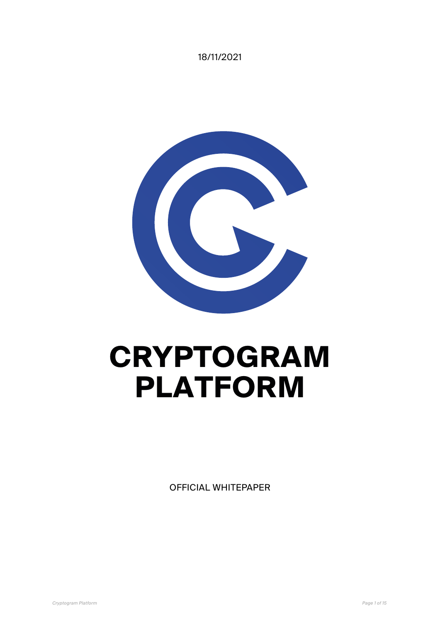18/11/2021



# **CRYPTOGRAM PLATFORM**

OFFICIAL WHITEPAPER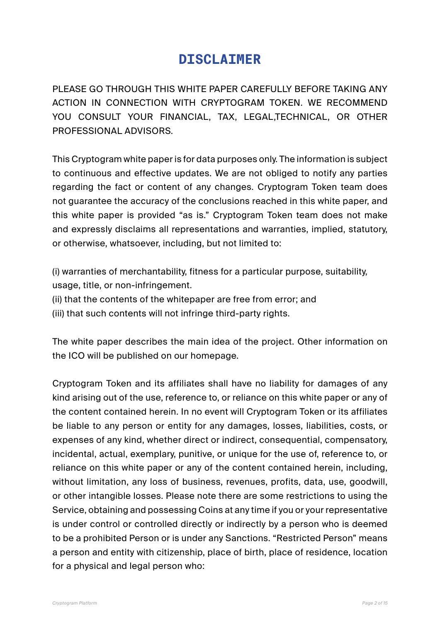# **DISCLAIMER**

PLEASE GO THROUGH THIS WHITE PAPER CAREFULLY BEFORE TAKING ANY ACTION IN CONNECTION WITH CRYPTOGRAM TOKEN. WE RECOMMEND YOU CONSULT YOUR FINANCIAL, TAX, LEGAL,TECHNICAL, OR OTHER PROFESSIONAL ADVISORS.

This Cryptogram white paper is for data purposes only. The information is subject to continuous and effective updates. We are not obliged to notify any parties regarding the fact or content of any changes. Cryptogram Token team does not guarantee the accuracy of the conclusions reached in this white paper, and this white paper is provided "as is." Cryptogram Token team does not make and expressly disclaims all representations and warranties, implied, statutory, or otherwise, whatsoever, including, but not limited to:

(i) warranties of merchantability, fitness for a particular purpose, suitability, usage, title, or non-infringement.

(ii) that the contents of the whitepaper are free from error; and

(iii) that such contents will not infringe third-party rights.

The white paper describes the main idea of the project. Other information on the ICO will be published on our homepage.

Cryptogram Token and its affiliates shall have no liability for damages of any kind arising out of the use, reference to, or reliance on this white paper or any of the content contained herein. In no event will Cryptogram Token or its affiliates be liable to any person or entity for any damages, losses, liabilities, costs, or expenses of any kind, whether direct or indirect, consequential, compensatory, incidental, actual, exemplary, punitive, or unique for the use of, reference to, or reliance on this white paper or any of the content contained herein, including, without limitation, any loss of business, revenues, profits, data, use, goodwill, or other intangible losses. Please note there are some restrictions to using the Service, obtaining and possessing Coins at any time if you or your representative is under control or controlled directly or indirectly by a person who is deemed to be a prohibited Person or is under any Sanctions. "Restricted Person" means a person and entity with citizenship, place of birth, place of residence, location for a physical and legal person who: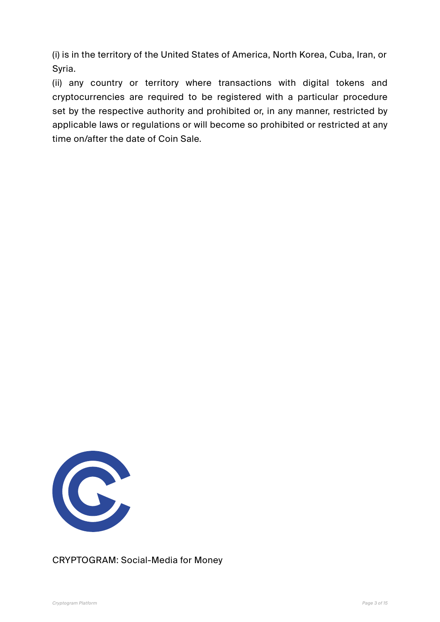(i) is in the territory of the United States of America, North Korea, Cuba, Iran, or Syria.

(ii) any country or territory where transactions with digital tokens and cryptocurrencies are required to be registered with a particular procedure set by the respective authority and prohibited or, in any manner, restricted by applicable laws or regulations or will become so prohibited or restricted at any time on/after the date of Coin Sale.



CRYPTOGRAM: Social-Media for Money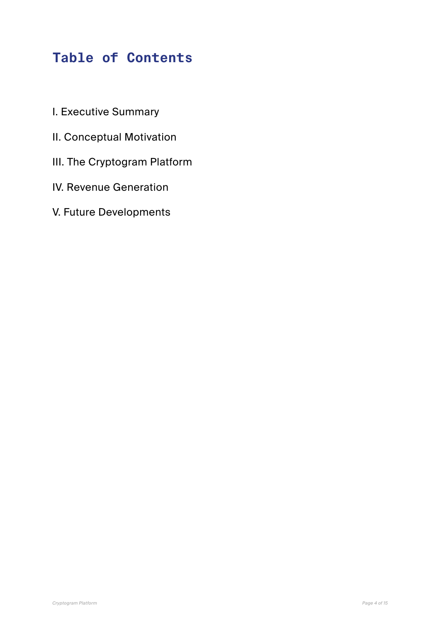# **Table of Contents**

- I. Executive Summary
- II. Conceptual Motivation
- III. The Cryptogram Platform
- IV. Revenue Generation
- V. Future Developments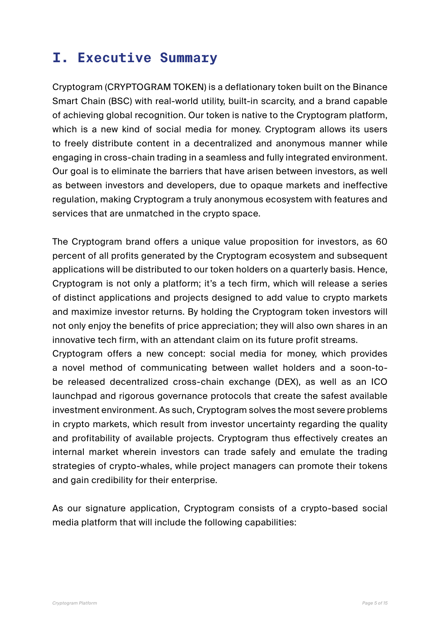# **I. Executive Summary**

Cryptogram (CRYPTOGRAM TOKEN) is a deflationary token built on the Binance Smart Chain (BSC) with real-world utility, built-in scarcity, and a brand capable of achieving global recognition. Our token is native to the Cryptogram platform, which is a new kind of social media for money. Cryptogram allows its users to freely distribute content in a decentralized and anonymous manner while engaging in cross-chain trading in a seamless and fully integrated environment. Our goal is to eliminate the barriers that have arisen between investors, as well as between investors and developers, due to opaque markets and ineffective regulation, making Cryptogram a truly anonymous ecosystem with features and services that are unmatched in the crypto space.

The Cryptogram brand offers a unique value proposition for investors, as 60 percent of all profits generated by the Cryptogram ecosystem and subsequent applications will be distributed to our token holders on a quarterly basis. Hence, Cryptogram is not only a platform; it's a tech firm, which will release a series of distinct applications and projects designed to add value to crypto markets and maximize investor returns. By holding the Cryptogram token investors will not only enjoy the benefits of price appreciation; they will also own shares in an innovative tech firm, with an attendant claim on its future profit streams.

Cryptogram offers a new concept: social media for money, which provides a novel method of communicating between wallet holders and a soon-tobe released decentralized cross-chain exchange (DEX), as well as an ICO launchpad and rigorous governance protocols that create the safest available investment environment. As such, Cryptogram solves the most severe problems in crypto markets, which result from investor uncertainty regarding the quality and profitability of available projects. Cryptogram thus effectively creates an internal market wherein investors can trade safely and emulate the trading strategies of crypto-whales, while project managers can promote their tokens and gain credibility for their enterprise.

As our signature application, Cryptogram consists of a crypto-based social media platform that will include the following capabilities: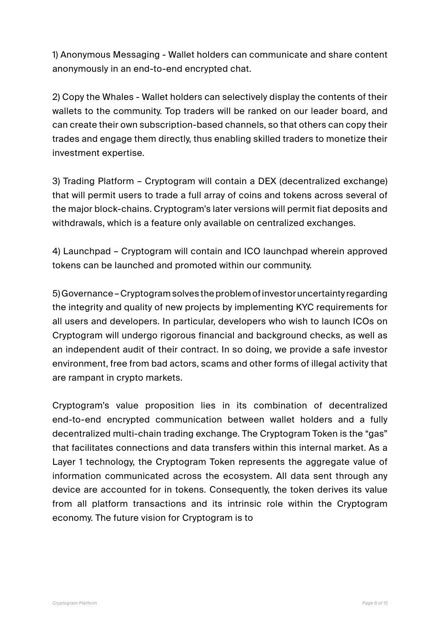1) Anonymous Messaging - Wallet holders can communicate and share content anonymously in an end-to-end encrypted chat.

2) Copy the Whales - Wallet holders can selectively display the contents of their wallets to the community. Top traders will be ranked on our leader board, and can create their own subscription-based channels, so that others can copy their trades and engage them directly, thus enabling skilled traders to monetize their investment expertise.

3) Trading Platform – Cryptogram will contain a DEX (decentralized exchange) that will permit users to trade a full array of coins and tokens across several of the major block-chains. Cryptogram's later versions will permit fiat deposits and withdrawals, which is a feature only available on centralized exchanges.

4) Launchpad – Cryptogram will contain and ICO launchpad wherein approved tokens can be launched and promoted within our community.

5) Governance – Cryptogram solves the problem of investor uncertainty regarding the integrity and quality of new projects by implementing KYC requirements for all users and developers. In particular, developers who wish to launch ICOs on Cryptogram will undergo rigorous financial and background checks, as well as an independent audit of their contract. In so doing, we provide a safe investor environment, free from bad actors, scams and other forms of illegal activity that are rampant in crypto markets.

Cryptogram's value proposition lies in its combination of decentralized end-to-end encrypted communication between wallet holders and a fully decentralized multi-chain trading exchange. The Cryptogram Token is the "gas" that facilitates connections and data transfers within this internal market. As a Layer 1 technology, the Cryptogram Token represents the aggregate value of information communicated across the ecosystem. All data sent through any device are accounted for in tokens. Consequently, the token derives its value from all platform transactions and its intrinsic role within the Cryptogram economy. The future vision for Cryptogram is to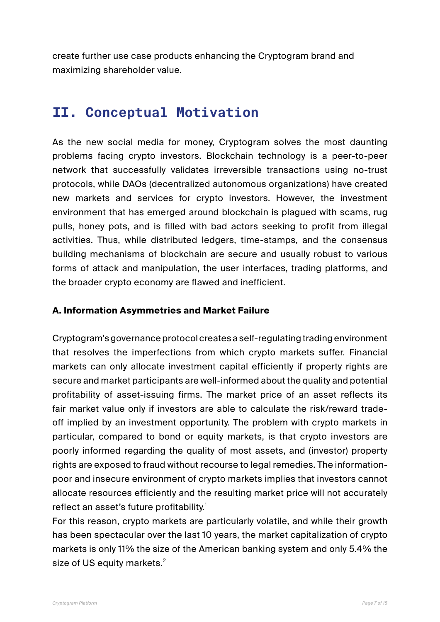create further use case products enhancing the Cryptogram brand and maximizing shareholder value.

## **II. Conceptual Motivation**

As the new social media for money, Cryptogram solves the most daunting problems facing crypto investors. Blockchain technology is a peer-to-peer network that successfully validates irreversible transactions using no-trust protocols, while DAOs (decentralized autonomous organizations) have created new markets and services for crypto investors. However, the investment environment that has emerged around blockchain is plagued with scams, rug pulls, honey pots, and is filled with bad actors seeking to profit from illegal activities. Thus, while distributed ledgers, time-stamps, and the consensus building mechanisms of blockchain are secure and usually robust to various forms of attack and manipulation, the user interfaces, trading platforms, and the broader crypto economy are flawed and inefficient.

#### **A. Information Asymmetries and Market Failure**

Cryptogram's governance protocol creates a self-regulating trading environment that resolves the imperfections from which crypto markets suffer. Financial markets can only allocate investment capital efficiently if property rights are secure and market participants are well-informed about the quality and potential profitability of asset-issuing firms. The market price of an asset reflects its fair market value only if investors are able to calculate the risk/reward tradeoff implied by an investment opportunity. The problem with crypto markets in particular, compared to bond or equity markets, is that crypto investors are poorly informed regarding the quality of most assets, and (investor) property rights are exposed to fraud without recourse to legal remedies. The informationpoor and insecure environment of crypto markets implies that investors cannot allocate resources efficiently and the resulting market price will not accurately reflect an asset's future profitability.<sup>1</sup>

For this reason, crypto markets are particularly volatile, and while their growth has been spectacular over the last 10 years, the market capitalization of crypto markets is only 11% the size of the American banking system and only 5.4% the size of US equity markets. $2$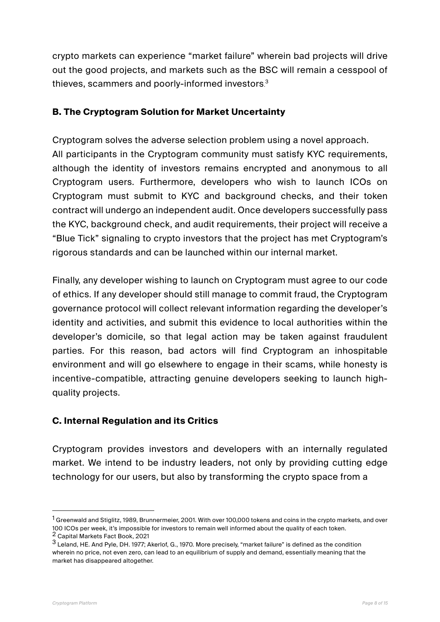crypto markets can experience "market failure" wherein bad projects will drive out the good projects, and markets such as the BSC will remain a cesspool of thieves, scammers and poorly-informed investors.<sup>3</sup>

#### **B. The Cryptogram Solution for Market Uncertainty**

Cryptogram solves the adverse selection problem using a novel approach. All participants in the Cryptogram community must satisfy KYC requirements, although the identity of investors remains encrypted and anonymous to all Cryptogram users. Furthermore, developers who wish to launch ICOs on Cryptogram must submit to KYC and background checks, and their token contract will undergo an independent audit. Once developers successfully pass the KYC, background check, and audit requirements, their project will receive a "Blue Tick" signaling to crypto investors that the project has met Cryptogram's rigorous standards and can be launched within our internal market.

Finally, any developer wishing to launch on Cryptogram must agree to our code of ethics. If any developer should still manage to commit fraud, the Cryptogram governance protocol will collect relevant information regarding the developer's identity and activities, and submit this evidence to local authorities within the developer's domicile, so that legal action may be taken against fraudulent parties. For this reason, bad actors will find Cryptogram an inhospitable environment and will go elsewhere to engage in their scams, while honesty is incentive-compatible, attracting genuine developers seeking to launch highquality projects.

#### **C. Internal Regulation and its Critics**

Cryptogram provides investors and developers with an internally regulated market. We intend to be industry leaders, not only by providing cutting edge technology for our users, but also by transforming the crypto space from a

 $1$  Greenwald and Stiglitz, 1989, Brunnermeier, 2001. With over 100,000 tokens and coins in the crypto markets, and over 100 ICOs per week, it's impossible for investors to remain well informed about the quality of each token. 2 Capital Markets Fact Book, 2021

<sup>3</sup> Leland, HE. And Pyle, DH. 1977; Akerlof, G., 1970. More precisely, "market failure" is defined as the condition wherein no price, not even zero, can lead to an equilibrium of supply and demand, essentially meaning that the market has disappeared altogether.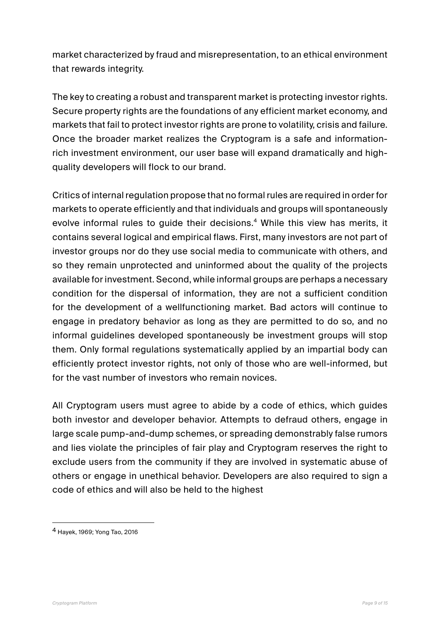market characterized by fraud and misrepresentation, to an ethical environment that rewards integrity.

The key to creating a robust and transparent market is protecting investor rights. Secure property rights are the foundations of any efficient market economy, and markets that fail to protect investor rights are prone to volatility, crisis and failure. Once the broader market realizes the Cryptogram is a safe and informationrich investment environment, our user base will expand dramatically and highquality developers will flock to our brand.

Critics of internal regulation propose that no formal rules are required in order for markets to operate efficiently and that individuals and groups will spontaneously evolve informal rules to guide their decisions.<sup>4</sup> While this view has merits, it contains several logical and empirical flaws. First, many investors are not part of investor groups nor do they use social media to communicate with others, and so they remain unprotected and uninformed about the quality of the projects available for investment. Second, while informal groups are perhaps a necessary condition for the dispersal of information, they are not a sufficient condition for the development of a wellfunctioning market. Bad actors will continue to engage in predatory behavior as long as they are permitted to do so, and no informal guidelines developed spontaneously be investment groups will stop them. Only formal regulations systematically applied by an impartial body can efficiently protect investor rights, not only of those who are well-informed, but for the vast number of investors who remain novices.

All Cryptogram users must agree to abide by a code of ethics, which guides both investor and developer behavior. Attempts to defraud others, engage in large scale pump-and-dump schemes, or spreading demonstrably false rumors and lies violate the principles of fair play and Cryptogram reserves the right to exclude users from the community if they are involved in systematic abuse of others or engage in unethical behavior. Developers are also required to sign a code of ethics and will also be held to the highest

<sup>4</sup> Hayek, 1969; Yong Tao, 2016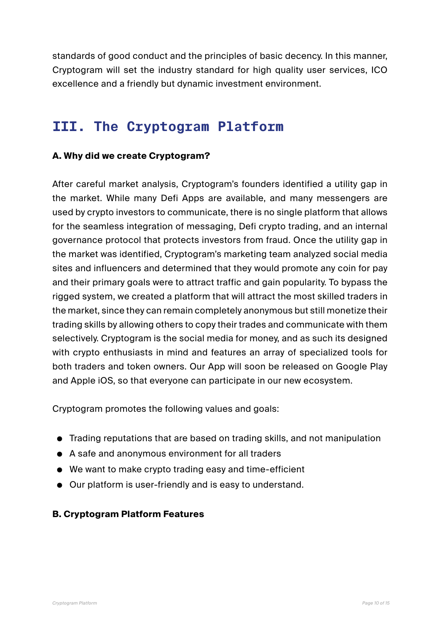standards of good conduct and the principles of basic decency. In this manner, Cryptogram will set the industry standard for high quality user services, ICO excellence and a friendly but dynamic investment environment.

# **III. The Cryptogram Platform**

#### **A. Why did we create Cryptogram?**

After careful market analysis, Cryptogram's founders identified a utility gap in the market. While many Defi Apps are available, and many messengers are used by crypto investors to communicate, there is no single platform that allows for the seamless integration of messaging, Defi crypto trading, and an internal governance protocol that protects investors from fraud. Once the utility gap in the market was identified, Cryptogram's marketing team analyzed social media sites and influencers and determined that they would promote any coin for pay and their primary goals were to attract traffic and gain popularity. To bypass the rigged system, we created a platform that will attract the most skilled traders in the market, since they can remain completely anonymous but still monetize their trading skills by allowing others to copy their trades and communicate with them selectively. Cryptogram is the social media for money, and as such its designed with crypto enthusiasts in mind and features an array of specialized tools for both traders and token owners. Our App will soon be released on Google Play and Apple iOS, so that everyone can participate in our new ecosystem.

Cryptogram promotes the following values and goals:

- Trading reputations that are based on trading skills, and not manipulation
- A safe and anonymous environment for all traders
- We want to make crypto trading easy and time-efficient
- Our platform is user-friendly and is easy to understand.

#### **B. Cryptogram Platform Features**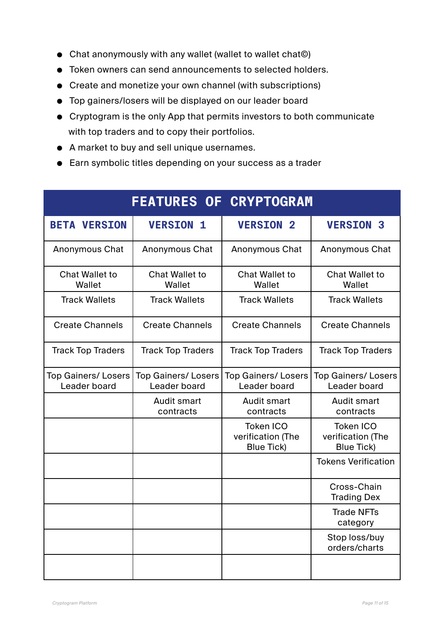- Chat anonymously with any wallet (wallet to wallet chat©)
- Token owners can send announcements to selected holders.
- Create and monetize your own channel (with subscriptions)
- Top gainers/losers will be displayed on our leader board
- Cryptogram is the only App that permits investors to both communicate with top traders and to copy their portfolios.
- A market to buy and sell unique usernames.
- Earn symbolic titles depending on your success as a trader

| <b>FEATURES OF CRYPTOGRAM</b>             |                                           |                                                            |                                                            |
|-------------------------------------------|-------------------------------------------|------------------------------------------------------------|------------------------------------------------------------|
| <b>BETA VERSION</b>                       | <b>VERSION 1</b>                          | <b>VERSION 2</b>                                           | <b>VERSION 3</b>                                           |
| Anonymous Chat                            | <b>Anonymous Chat</b>                     | Anonymous Chat                                             | Anonymous Chat                                             |
| <b>Chat Wallet to</b><br>Wallet           | <b>Chat Wallet to</b><br>Wallet           | Chat Wallet to<br>Wallet                                   | <b>Chat Wallet to</b><br>Wallet                            |
| <b>Track Wallets</b>                      | <b>Track Wallets</b>                      | <b>Track Wallets</b>                                       | <b>Track Wallets</b>                                       |
| <b>Create Channels</b>                    | <b>Create Channels</b>                    | <b>Create Channels</b>                                     | <b>Create Channels</b>                                     |
| <b>Track Top Traders</b>                  | <b>Track Top Traders</b>                  | <b>Track Top Traders</b>                                   | <b>Track Top Traders</b>                                   |
| <b>Top Gainers/Losers</b><br>Leader board | <b>Top Gainers/Losers</b><br>Leader board | <b>Top Gainers/Losers</b><br>Leader board                  | <b>Top Gainers/Losers</b><br>Leader board                  |
|                                           | <b>Audit smart</b><br>contracts           | Audit smart<br>contracts                                   | <b>Audit smart</b><br>contracts                            |
|                                           |                                           | <b>Token ICO</b><br>verification (The<br><b>Blue Tick)</b> | <b>Token ICO</b><br>verification (The<br><b>Blue Tick)</b> |
|                                           |                                           |                                                            | <b>Tokens Verification</b>                                 |
|                                           |                                           |                                                            | Cross-Chain<br><b>Trading Dex</b>                          |
|                                           |                                           |                                                            | <b>Trade NFTs</b><br>category                              |
|                                           |                                           |                                                            | Stop loss/buy<br>orders/charts                             |
|                                           |                                           |                                                            |                                                            |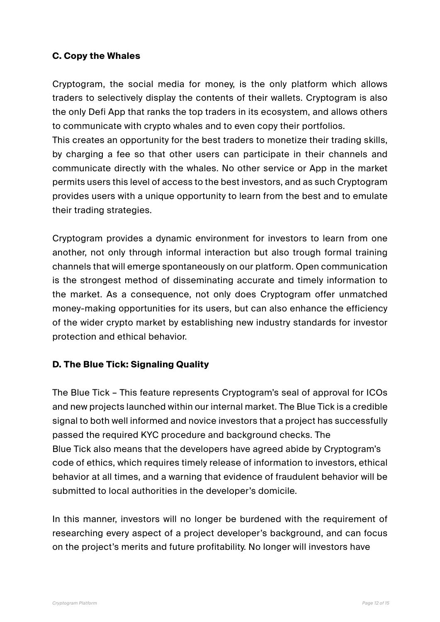#### **C. Copy the Whales**

Cryptogram, the social media for money, is the only platform which allows traders to selectively display the contents of their wallets. Cryptogram is also the only Defi App that ranks the top traders in its ecosystem, and allows others to communicate with crypto whales and to even copy their portfolios.

This creates an opportunity for the best traders to monetize their trading skills, by charging a fee so that other users can participate in their channels and communicate directly with the whales. No other service or App in the market permits users this level of access to the best investors, and as such Cryptogram provides users with a unique opportunity to learn from the best and to emulate their trading strategies.

Cryptogram provides a dynamic environment for investors to learn from one another, not only through informal interaction but also trough formal training channels that will emerge spontaneously on our platform. Open communication is the strongest method of disseminating accurate and timely information to the market. As a consequence, not only does Cryptogram offer unmatched money-making opportunities for its users, but can also enhance the efficiency of the wider crypto market by establishing new industry standards for investor protection and ethical behavior.

#### **D. The Blue Tick: Signaling Quality**

The Blue Tick – This feature represents Cryptogram's seal of approval for ICOs and new projects launched within our internal market. The Blue Tick is a credible signal to both well informed and novice investors that a project has successfully passed the required KYC procedure and background checks. The Blue Tick also means that the developers have agreed abide by Cryptogram's code of ethics, which requires timely release of information to investors, ethical behavior at all times, and a warning that evidence of fraudulent behavior will be submitted to local authorities in the developer's domicile.

In this manner, investors will no longer be burdened with the requirement of researching every aspect of a project developer's background, and can focus on the project's merits and future profitability. No longer will investors have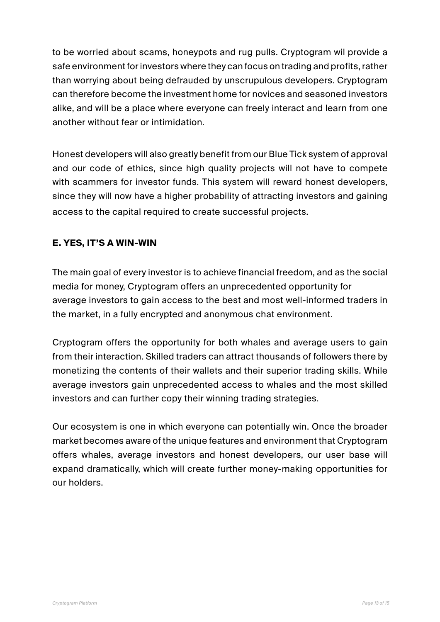to be worried about scams, honeypots and rug pulls. Cryptogram wil provide a safe environment for investors where they can focus on trading and profits, rather than worrying about being defrauded by unscrupulous developers. Cryptogram can therefore become the investment home for novices and seasoned investors alike, and will be a place where everyone can freely interact and learn from one another without fear or intimidation.

Honest developers will also greatly benefit from our Blue Tick system of approval and our code of ethics, since high quality projects will not have to compete with scammers for investor funds. This system will reward honest developers, since they will now have a higher probability of attracting investors and gaining access to the capital required to create successful projects.

#### **E. YES, IT'S A WIN-WIN**

The main goal of every investor is to achieve financial freedom, and as the social media for money, Cryptogram offers an unprecedented opportunity for average investors to gain access to the best and most well-informed traders in the market, in a fully encrypted and anonymous chat environment.

Cryptogram offers the opportunity for both whales and average users to gain from their interaction. Skilled traders can attract thousands of followers there by monetizing the contents of their wallets and their superior trading skills. While average investors gain unprecedented access to whales and the most skilled investors and can further copy their winning trading strategies.

Our ecosystem is one in which everyone can potentially win. Once the broader market becomes aware of the unique features and environment that Cryptogram offers whales, average investors and honest developers, our user base will expand dramatically, which will create further money-making opportunities for our holders.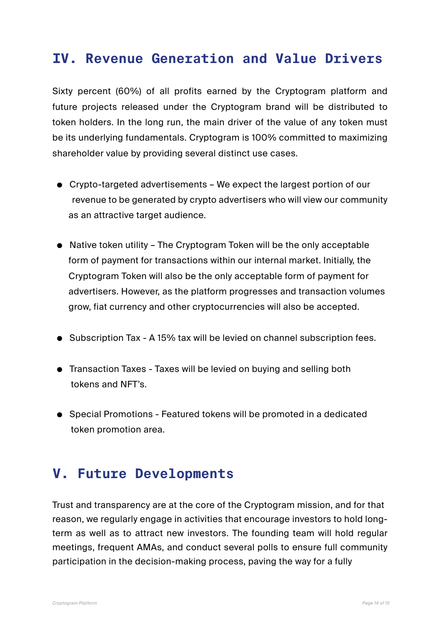## **IV. Revenue Generation and Value Drivers**

Sixty percent (60%) of all profits earned by the Cryptogram platform and future projects released under the Cryptogram brand will be distributed to token holders. In the long run, the main driver of the value of any token must be its underlying fundamentals. Cryptogram is 100% committed to maximizing shareholder value by providing several distinct use cases.

- Crypto-targeted advertisements We expect the largest portion of our revenue to be generated by crypto advertisers who will view our community as an attractive target audience.
- Native token utility The Cryptogram Token will be the only acceptable form of payment for transactions within our internal market. Initially, the Cryptogram Token will also be the only acceptable form of payment for advertisers. However, as the platform progresses and transaction volumes grow, fiat currency and other cryptocurrencies will also be accepted.
- Subscription Tax A 15% tax will be levied on channel subscription fees.
- Transaction Taxes Taxes will be levied on buying and selling both tokens and NFT's.
- Special Promotions Featured tokens will be promoted in a dedicated token promotion area.

## **V. Future Developments**

Trust and transparency are at the core of the Cryptogram mission, and for that reason, we regularly engage in activities that encourage investors to hold longterm as well as to attract new investors. The founding team will hold regular meetings, frequent AMAs, and conduct several polls to ensure full community participation in the decision-making process, paving the way for a fully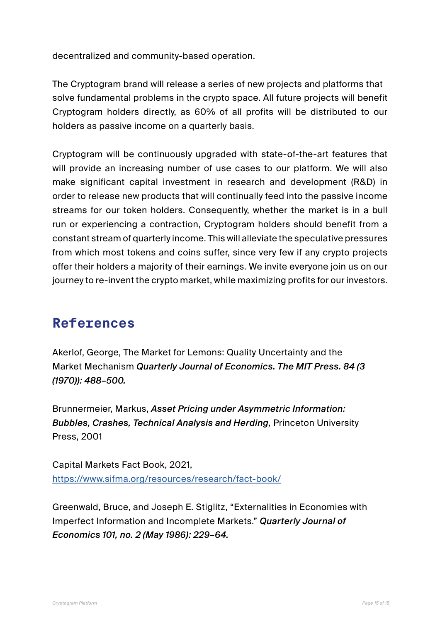decentralized and community-based operation.

The Cryptogram brand will release a series of new projects and platforms that solve fundamental problems in the crypto space. All future projects will benefit Cryptogram holders directly, as 60% of all profits will be distributed to our holders as passive income on a quarterly basis.

Cryptogram will be continuously upgraded with state-of-the-art features that will provide an increasing number of use cases to our platform. We will also make significant capital investment in research and development (R&D) in order to release new products that will continually feed into the passive income streams for our token holders. Consequently, whether the market is in a bull run or experiencing a contraction, Cryptogram holders should benefit from a constant stream of quarterly income. This will alleviate the speculative pressures from which most tokens and coins suffer, since very few if any crypto projects offer their holders a majority of their earnings. We invite everyone join us on our journey to re-invent the crypto market, while maximizing profits for our investors.

## **References**

Akerlof, George, The Market for Lemons: Quality Uncertainty and the Market Mechanism *Quarterly Journal of Economics. The MIT Press. 84 (3 (1970)): 488–500.*

Brunnermeier, Markus, *Asset Pricing under Asymmetric Information: Bubbles, Crashes, Technical Analysis and Herding,* Princeton University Press, 2001

Capital Markets Fact Book, 2021, <https://www.sifma.org/resources/research/fact-book/>

Greenwald, Bruce, and Joseph E. Stiglitz, "Externalities in Economies with Imperfect Information and Incomplete Markets." *Quarterly Journal of Economics 101, no. 2 (May 1986): 229–64.*